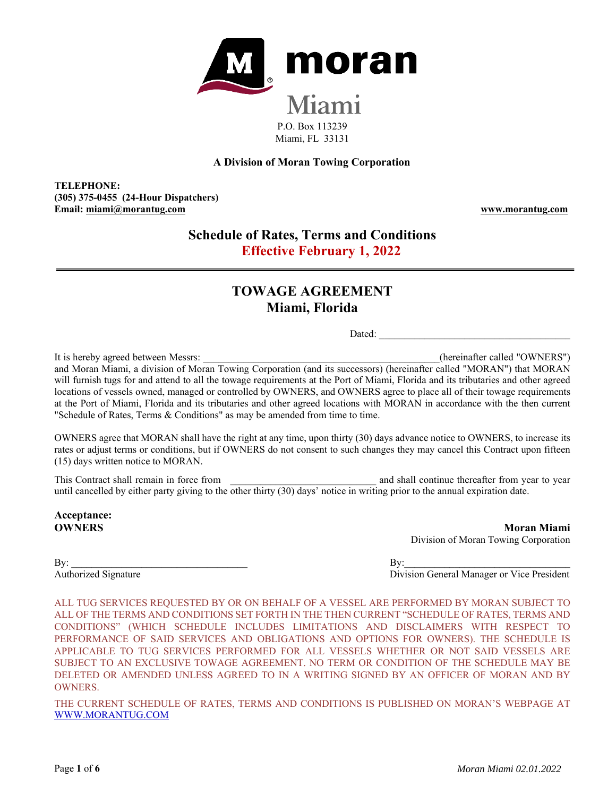

## **A Division of Moran Towing Corporation**

**TELEPHONE: (305) 375-0455 (24-Hour Dispatchers) Email: miami@morantug.com www.morantug.com** 

# **Schedule of Rates, Terms and Conditions Effective February 1, 2022**

# **TOWAGE AGREEMENT Miami, Florida**

Dated:

It is hereby agreed between Messrs: **Example 2008** (hereinafter called "OWNERS") and Moran Miami, a division of Moran Towing Corporation (and its successors) (hereinafter called "MORAN") that MORAN will furnish tugs for and attend to all the towage requirements at the Port of Miami, Florida and its tributaries and other agreed locations of vessels owned, managed or controlled by OWNERS, and OWNERS agree to place all of their towage requirements at the Port of Miami, Florida and its tributaries and other agreed locations with MORAN in accordance with the then current "Schedule of Rates, Terms & Conditions" as may be amended from time to time.

OWNERS agree that MORAN shall have the right at any time, upon thirty (30) days advance notice to OWNERS, to increase its rates or adjust terms or conditions, but if OWNERS do not consent to such changes they may cancel this Contract upon fifteen (15) days written notice to MORAN.

This Contract shall remain in force from  $\Box$  and shall continue thereafter from year to year to year until cancelled by either party giving to the other thirty (30) days' notice in writing prior to the annual expiration date.

**Acceptance:** 

**OWNERS** Moran Miami Division of Moran Towing Corporation

 $\mathbf{B} \mathbf{y}$ :

Authorized Signature Division General Manager or Vice President

ALL TUG SERVICES REQUESTED BY OR ON BEHALF OF A VESSEL ARE PERFORMED BY MORAN SUBJECT TO ALL OF THE TERMS AND CONDITIONS SET FORTH IN THE THEN CURRENT "SCHEDULE OF RATES, TERMS AND CONDITIONS" (WHICH SCHEDULE INCLUDES LIMITATIONS AND DISCLAIMERS WITH RESPECT TO PERFORMANCE OF SAID SERVICES AND OBLIGATIONS AND OPTIONS FOR OWNERS). THE SCHEDULE IS APPLICABLE TO TUG SERVICES PERFORMED FOR ALL VESSELS WHETHER OR NOT SAID VESSELS ARE SUBJECT TO AN EXCLUSIVE TOWAGE AGREEMENT. NO TERM OR CONDITION OF THE SCHEDULE MAY BE DELETED OR AMENDED UNLESS AGREED TO IN A WRITING SIGNED BY AN OFFICER OF MORAN AND BY OWNERS.

THE CURRENT SCHEDULE OF RATES, TERMS AND CONDITIONS IS PUBLISHED ON MORAN'S WEBPAGE AT WWW.MORANTUG.COM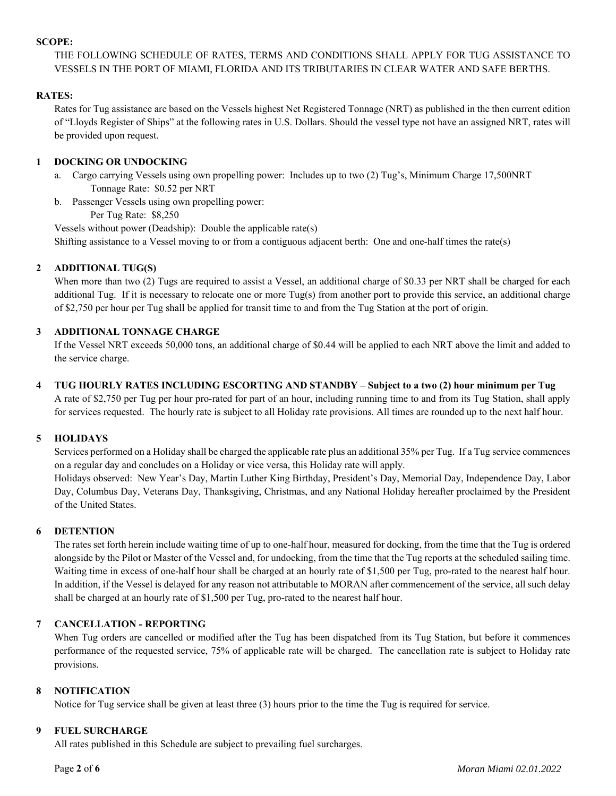#### **SCOPE:**

THE FOLLOWING SCHEDULE OF RATES, TERMS AND CONDITIONS SHALL APPLY FOR TUG ASSISTANCE TO VESSELS IN THE PORT OF MIAMI, FLORIDA AND ITS TRIBUTARIES IN CLEAR WATER AND SAFE BERTHS.

#### **RATES:**

Rates for Tug assistance are based on the Vessels highest Net Registered Tonnage (NRT) as published in the then current edition of "Lloyds Register of Ships" at the following rates in U.S. Dollars. Should the vessel type not have an assigned NRT, rates will be provided upon request.

## **1 DOCKING OR UNDOCKING**

- a. Cargo carrying Vessels using own propelling power: Includes up to two (2) Tug's, Minimum Charge 17,500NRT Tonnage Rate: \$0.52 per NRT
- b. Passenger Vessels using own propelling power:
	- Per Tug Rate: \$8,250

Vessels without power (Deadship): Double the applicable rate(s) Shifting assistance to a Vessel moving to or from a contiguous adjacent berth: One and one-half times the rate(s)

# **2 ADDITIONAL TUG(S)**

When more than two (2) Tugs are required to assist a Vessel, an additional charge of \$0.33 per NRT shall be charged for each additional Tug. If it is necessary to relocate one or more Tug(s) from another port to provide this service, an additional charge of \$2,750 per hour per Tug shall be applied for transit time to and from the Tug Station at the port of origin.

## **3 ADDITIONAL TONNAGE CHARGE**

If the Vessel NRT exceeds 50,000 tons, an additional charge of \$0.44 will be applied to each NRT above the limit and added to the service charge.

**4 TUG HOURLY RATES INCLUDING ESCORTING AND STANDBY – Subject to a two (2) hour minimum per Tug** 

A rate of \$2,750 per Tug per hour pro-rated for part of an hour, including running time to and from its Tug Station, shall apply for services requested. The hourly rate is subject to all Holiday rate provisions. All times are rounded up to the next half hour.

#### **5 HOLIDAYS**

Services performed on a Holiday shall be charged the applicable rate plus an additional 35% per Tug. If a Tug service commences on a regular day and concludes on a Holiday or vice versa, this Holiday rate will apply.

Holidays observed: New Year's Day, Martin Luther King Birthday, President's Day, Memorial Day, Independence Day, Labor Day, Columbus Day, Veterans Day, Thanksgiving, Christmas, and any National Holiday hereafter proclaimed by the President of the United States.

# **6 DETENTION**

The rates set forth herein include waiting time of up to one-half hour, measured for docking, from the time that the Tug is ordered alongside by the Pilot or Master of the Vessel and, for undocking, from the time that the Tug reports at the scheduled sailing time. Waiting time in excess of one-half hour shall be charged at an hourly rate of \$1,500 per Tug, pro-rated to the nearest half hour. In addition, if the Vessel is delayed for any reason not attributable to MORAN after commencement of the service, all such delay shall be charged at an hourly rate of \$1,500 per Tug, pro-rated to the nearest half hour.

# **7 CANCELLATION - REPORTING**

When Tug orders are cancelled or modified after the Tug has been dispatched from its Tug Station, but before it commences performance of the requested service, 75% of applicable rate will be charged. The cancellation rate is subject to Holiday rate provisions.

#### **8 NOTIFICATION**

Notice for Tug service shall be given at least three (3) hours prior to the time the Tug is required for service.

#### **9 FUEL SURCHARGE**

All rates published in this Schedule are subject to prevailing fuel surcharges.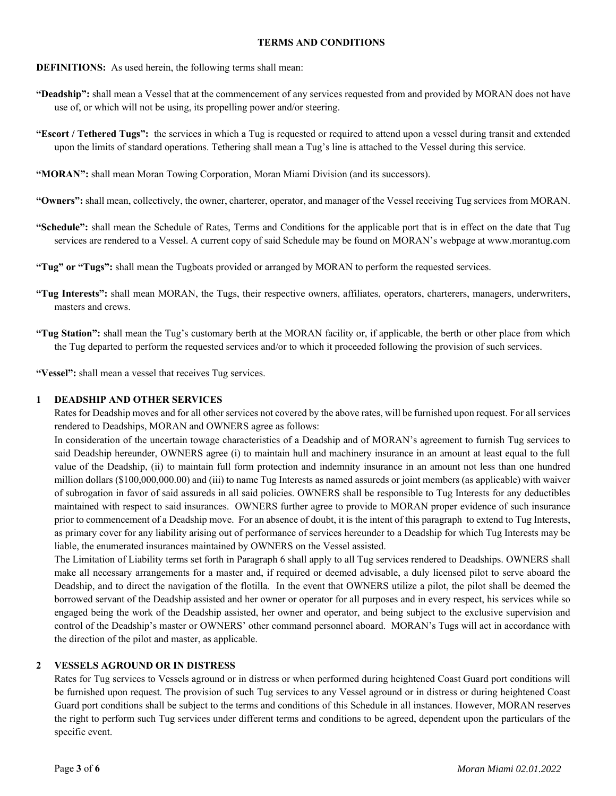#### **TERMS AND CONDITIONS**

#### **DEFINITIONS:** As used herein, the following terms shall mean:

- **"Deadship":** shall mean a Vessel that at the commencement of any services requested from and provided by MORAN does not have use of, or which will not be using, its propelling power and/or steering.
- **"Escort / Tethered Tugs":** the services in which a Tug is requested or required to attend upon a vessel during transit and extended upon the limits of standard operations. Tethering shall mean a Tug's line is attached to the Vessel during this service.
- **"MORAN":** shall mean Moran Towing Corporation, Moran Miami Division (and its successors).
- **"Owners":** shall mean, collectively, the owner, charterer, operator, and manager of the Vessel receiving Tug services from MORAN.
- **"Schedule":** shall mean the Schedule of Rates, Terms and Conditions for the applicable port that is in effect on the date that Tug services are rendered to a Vessel. A current copy of said Schedule may be found on MORAN's webpage at www.morantug.com
- **"Tug" or "Tugs":** shall mean the Tugboats provided or arranged by MORAN to perform the requested services.
- **"Tug Interests":** shall mean MORAN, the Tugs, their respective owners, affiliates, operators, charterers, managers, underwriters, masters and crews.
- **"Tug Station":** shall mean the Tug's customary berth at the MORAN facility or, if applicable, the berth or other place from which the Tug departed to perform the requested services and/or to which it proceeded following the provision of such services.

**"Vessel":** shall mean a vessel that receives Tug services.

#### **1 DEADSHIP AND OTHER SERVICES**

Rates for Deadship moves and for all other services not covered by the above rates, will be furnished upon request. For all services rendered to Deadships, MORAN and OWNERS agree as follows:

In consideration of the uncertain towage characteristics of a Deadship and of MORAN's agreement to furnish Tug services to said Deadship hereunder, OWNERS agree (i) to maintain hull and machinery insurance in an amount at least equal to the full value of the Deadship, (ii) to maintain full form protection and indemnity insurance in an amount not less than one hundred million dollars (\$100,000,000.00) and (iii) to name Tug Interests as named assureds or joint members (as applicable) with waiver of subrogation in favor of said assureds in all said policies. OWNERS shall be responsible to Tug Interests for any deductibles maintained with respect to said insurances. OWNERS further agree to provide to MORAN proper evidence of such insurance prior to commencement of a Deadship move. For an absence of doubt, it is the intent of this paragraph to extend to Tug Interests, as primary cover for any liability arising out of performance of services hereunder to a Deadship for which Tug Interests may be liable, the enumerated insurances maintained by OWNERS on the Vessel assisted.

The Limitation of Liability terms set forth in Paragraph 6 shall apply to all Tug services rendered to Deadships. OWNERS shall make all necessary arrangements for a master and, if required or deemed advisable, a duly licensed pilot to serve aboard the Deadship, and to direct the navigation of the flotilla. In the event that OWNERS utilize a pilot, the pilot shall be deemed the borrowed servant of the Deadship assisted and her owner or operator for all purposes and in every respect, his services while so engaged being the work of the Deadship assisted, her owner and operator, and being subject to the exclusive supervision and control of the Deadship's master or OWNERS' other command personnel aboard. MORAN's Tugs will act in accordance with the direction of the pilot and master, as applicable.

#### **2 VESSELS AGROUND OR IN DISTRESS**

Rates for Tug services to Vessels aground or in distress or when performed during heightened Coast Guard port conditions will be furnished upon request. The provision of such Tug services to any Vessel aground or in distress or during heightened Coast Guard port conditions shall be subject to the terms and conditions of this Schedule in all instances. However, MORAN reserves the right to perform such Tug services under different terms and conditions to be agreed, dependent upon the particulars of the specific event.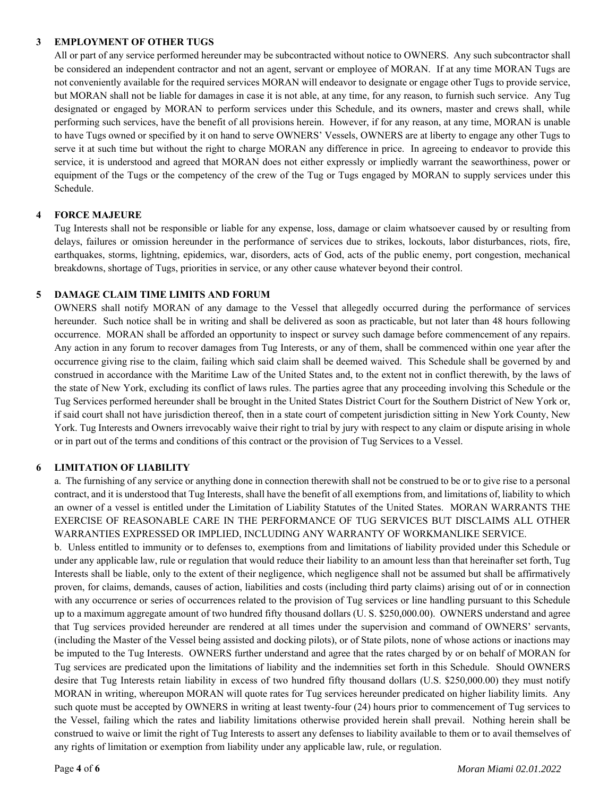#### **3 EMPLOYMENT OF OTHER TUGS**

All or part of any service performed hereunder may be subcontracted without notice to OWNERS. Any such subcontractor shall be considered an independent contractor and not an agent, servant or employee of MORAN. If at any time MORAN Tugs are not conveniently available for the required services MORAN will endeavor to designate or engage other Tugs to provide service, but MORAN shall not be liable for damages in case it is not able, at any time, for any reason, to furnish such service. Any Tug designated or engaged by MORAN to perform services under this Schedule, and its owners, master and crews shall, while performing such services, have the benefit of all provisions herein. However, if for any reason, at any time, MORAN is unable to have Tugs owned or specified by it on hand to serve OWNERS' Vessels, OWNERS are at liberty to engage any other Tugs to serve it at such time but without the right to charge MORAN any difference in price. In agreeing to endeavor to provide this service, it is understood and agreed that MORAN does not either expressly or impliedly warrant the seaworthiness, power or equipment of the Tugs or the competency of the crew of the Tug or Tugs engaged by MORAN to supply services under this Schedule.

## **4 FORCE MAJEURE**

Tug Interests shall not be responsible or liable for any expense, loss, damage or claim whatsoever caused by or resulting from delays, failures or omission hereunder in the performance of services due to strikes, lockouts, labor disturbances, riots, fire, earthquakes, storms, lightning, epidemics, war, disorders, acts of God, acts of the public enemy, port congestion, mechanical breakdowns, shortage of Tugs, priorities in service, or any other cause whatever beyond their control.

## **5 DAMAGE CLAIM TIME LIMITS AND FORUM**

OWNERS shall notify MORAN of any damage to the Vessel that allegedly occurred during the performance of services hereunder. Such notice shall be in writing and shall be delivered as soon as practicable, but not later than 48 hours following occurrence. MORAN shall be afforded an opportunity to inspect or survey such damage before commencement of any repairs. Any action in any forum to recover damages from Tug Interests, or any of them, shall be commenced within one year after the occurrence giving rise to the claim, failing which said claim shall be deemed waived. This Schedule shall be governed by and construed in accordance with the Maritime Law of the United States and, to the extent not in conflict therewith, by the laws of the state of New York, excluding its conflict of laws rules. The parties agree that any proceeding involving this Schedule or the Tug Services performed hereunder shall be brought in the United States District Court for the Southern District of New York or, if said court shall not have jurisdiction thereof, then in a state court of competent jurisdiction sitting in New York County, New York. Tug Interests and Owners irrevocably waive their right to trial by jury with respect to any claim or dispute arising in whole or in part out of the terms and conditions of this contract or the provision of Tug Services to a Vessel.

#### **6 LIMITATION OF LIABILITY**

a. The furnishing of any service or anything done in connection therewith shall not be construed to be or to give rise to a personal contract, and it is understood that Tug Interests, shall have the benefit of all exemptions from, and limitations of, liability to which an owner of a vessel is entitled under the Limitation of Liability Statutes of the United States. MORAN WARRANTS THE EXERCISE OF REASONABLE CARE IN THE PERFORMANCE OF TUG SERVICES BUT DISCLAIMS ALL OTHER WARRANTIES EXPRESSED OR IMPLIED, INCLUDING ANY WARRANTY OF WORKMANLIKE SERVICE.

b. Unless entitled to immunity or to defenses to, exemptions from and limitations of liability provided under this Schedule or under any applicable law, rule or regulation that would reduce their liability to an amount less than that hereinafter set forth, Tug Interests shall be liable, only to the extent of their negligence, which negligence shall not be assumed but shall be affirmatively proven, for claims, demands, causes of action, liabilities and costs (including third party claims) arising out of or in connection with any occurrence or series of occurrences related to the provision of Tug services or line handling pursuant to this Schedule up to a maximum aggregate amount of two hundred fifty thousand dollars (U. S. \$250,000.00). OWNERS understand and agree that Tug services provided hereunder are rendered at all times under the supervision and command of OWNERS' servants, (including the Master of the Vessel being assisted and docking pilots), or of State pilots, none of whose actions or inactions may be imputed to the Tug Interests. OWNERS further understand and agree that the rates charged by or on behalf of MORAN for Tug services are predicated upon the limitations of liability and the indemnities set forth in this Schedule. Should OWNERS desire that Tug Interests retain liability in excess of two hundred fifty thousand dollars (U.S. \$250,000.00) they must notify MORAN in writing, whereupon MORAN will quote rates for Tug services hereunder predicated on higher liability limits. Any such quote must be accepted by OWNERS in writing at least twenty-four (24) hours prior to commencement of Tug services to the Vessel, failing which the rates and liability limitations otherwise provided herein shall prevail. Nothing herein shall be construed to waive or limit the right of Tug Interests to assert any defenses to liability available to them or to avail themselves of any rights of limitation or exemption from liability under any applicable law, rule, or regulation.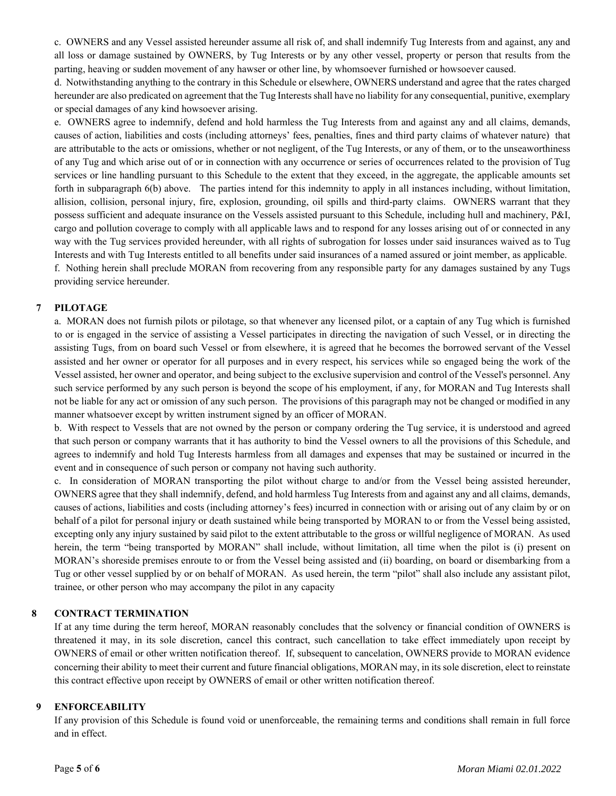c. OWNERS and any Vessel assisted hereunder assume all risk of, and shall indemnify Tug Interests from and against, any and all loss or damage sustained by OWNERS, by Tug Interests or by any other vessel, property or person that results from the parting, heaving or sudden movement of any hawser or other line, by whomsoever furnished or howsoever caused.

d. Notwithstanding anything to the contrary in this Schedule or elsewhere, OWNERS understand and agree that the rates charged hereunder are also predicated on agreement that the Tug Interests shall have no liability for any consequential, punitive, exemplary or special damages of any kind howsoever arising.

e. OWNERS agree to indemnify, defend and hold harmless the Tug Interests from and against any and all claims, demands, causes of action, liabilities and costs (including attorneys' fees, penalties, fines and third party claims of whatever nature) that are attributable to the acts or omissions, whether or not negligent, of the Tug Interests, or any of them, or to the unseaworthiness of any Tug and which arise out of or in connection with any occurrence or series of occurrences related to the provision of Tug services or line handling pursuant to this Schedule to the extent that they exceed, in the aggregate, the applicable amounts set forth in subparagraph 6(b) above. The parties intend for this indemnity to apply in all instances including, without limitation, allision, collision, personal injury, fire, explosion, grounding, oil spills and third-party claims. OWNERS warrant that they possess sufficient and adequate insurance on the Vessels assisted pursuant to this Schedule, including hull and machinery, P&I, cargo and pollution coverage to comply with all applicable laws and to respond for any losses arising out of or connected in any way with the Tug services provided hereunder, with all rights of subrogation for losses under said insurances waived as to Tug Interests and with Tug Interests entitled to all benefits under said insurances of a named assured or joint member, as applicable. f. Nothing herein shall preclude MORAN from recovering from any responsible party for any damages sustained by any Tugs providing service hereunder.

## **7 PILOTAGE**

a. MORAN does not furnish pilots or pilotage, so that whenever any licensed pilot, or a captain of any Tug which is furnished to or is engaged in the service of assisting a Vessel participates in directing the navigation of such Vessel, or in directing the assisting Tugs, from on board such Vessel or from elsewhere, it is agreed that he becomes the borrowed servant of the Vessel assisted and her owner or operator for all purposes and in every respect, his services while so engaged being the work of the Vessel assisted, her owner and operator, and being subject to the exclusive supervision and control of the Vessel's personnel. Any such service performed by any such person is beyond the scope of his employment, if any, for MORAN and Tug Interests shall not be liable for any act or omission of any such person. The provisions of this paragraph may not be changed or modified in any manner whatsoever except by written instrument signed by an officer of MORAN.

b. With respect to Vessels that are not owned by the person or company ordering the Tug service, it is understood and agreed that such person or company warrants that it has authority to bind the Vessel owners to all the provisions of this Schedule, and agrees to indemnify and hold Tug Interests harmless from all damages and expenses that may be sustained or incurred in the event and in consequence of such person or company not having such authority.

c. In consideration of MORAN transporting the pilot without charge to and/or from the Vessel being assisted hereunder, OWNERS agree that they shall indemnify, defend, and hold harmless Tug Interests from and against any and all claims, demands, causes of actions, liabilities and costs (including attorney's fees) incurred in connection with or arising out of any claim by or on behalf of a pilot for personal injury or death sustained while being transported by MORAN to or from the Vessel being assisted, excepting only any injury sustained by said pilot to the extent attributable to the gross or willful negligence of MORAN. As used herein, the term "being transported by MORAN" shall include, without limitation, all time when the pilot is (i) present on MORAN's shoreside premises enroute to or from the Vessel being assisted and (ii) boarding, on board or disembarking from a Tug or other vessel supplied by or on behalf of MORAN. As used herein, the term "pilot" shall also include any assistant pilot, trainee, or other person who may accompany the pilot in any capacity

# **8 CONTRACT TERMINATION**

If at any time during the term hereof, MORAN reasonably concludes that the solvency or financial condition of OWNERS is threatened it may, in its sole discretion, cancel this contract, such cancellation to take effect immediately upon receipt by OWNERS of email or other written notification thereof. If, subsequent to cancelation, OWNERS provide to MORAN evidence concerning their ability to meet their current and future financial obligations, MORAN may, in its sole discretion, elect to reinstate this contract effective upon receipt by OWNERS of email or other written notification thereof.

#### **9 ENFORCEABILITY**

If any provision of this Schedule is found void or unenforceable, the remaining terms and conditions shall remain in full force and in effect.